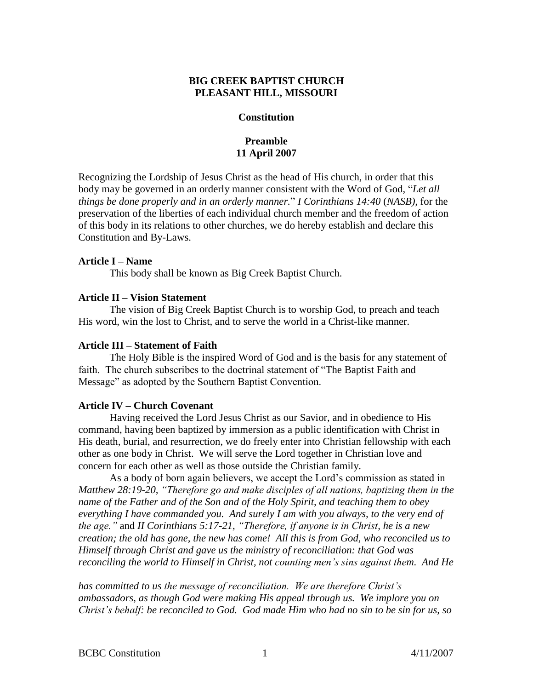# **BIG CREEK BAPTIST CHURCH PLEASANT HILL, MISSOURI**

### **Constitution**

# **Preamble 11 April 2007**

Recognizing the Lordship of Jesus Christ as the head of His church, in order that this body may be governed in an orderly manner consistent with the Word of God, "*Let all things be done properly and in an orderly manner.*" *I Corinthians 14:40* (*NASB),* for the preservation of the liberties of each individual church member and the freedom of action of this body in its relations to other churches, we do hereby establish and declare this Constitution and By-Laws.

# **Article I – Name**

This body shall be known as Big Creek Baptist Church.

# **Article II – Vision Statement**

The vision of Big Creek Baptist Church is to worship God, to preach and teach His word, win the lost to Christ, and to serve the world in a Christ-like manner.

## **Article III – Statement of Faith**

The Holy Bible is the inspired Word of God and is the basis for any statement of faith. The church subscribes to the doctrinal statement of "The Baptist Faith and Message" as adopted by the Southern Baptist Convention.

# **Article IV – Church Covenant**

Having received the Lord Jesus Christ as our Savior, and in obedience to His command, having been baptized by immersion as a public identification with Christ in His death, burial, and resurrection, we do freely enter into Christian fellowship with each other as one body in Christ. We will serve the Lord together in Christian love and concern for each other as well as those outside the Christian family.

As a body of born again believers, we accept the Lord's commission as stated in *Matthew 28:19-20, "Therefore go and make disciples of all nations, baptizing them in the name of the Father and of the Son and of the Holy Spirit, and teaching them to obey everything I have commanded you. And surely I am with you always, to the very end of the age."* and *II Corinthians 5:17-21, "Therefore, if anyone is in Christ, he is a new creation; the old has gone, the new has come! All this is from God, who reconciled us to Himself through Christ and gave us the ministry of reconciliation: that God was reconciling the world to Himself in Christ, not counting men's sins against them. And He*

*has committed to us the message of reconciliation. We are therefore Christ's ambassadors, as though God were making His appeal through us. We implore you on Christ's behalf: be reconciled to God. God made Him who had no sin to be sin for us, so*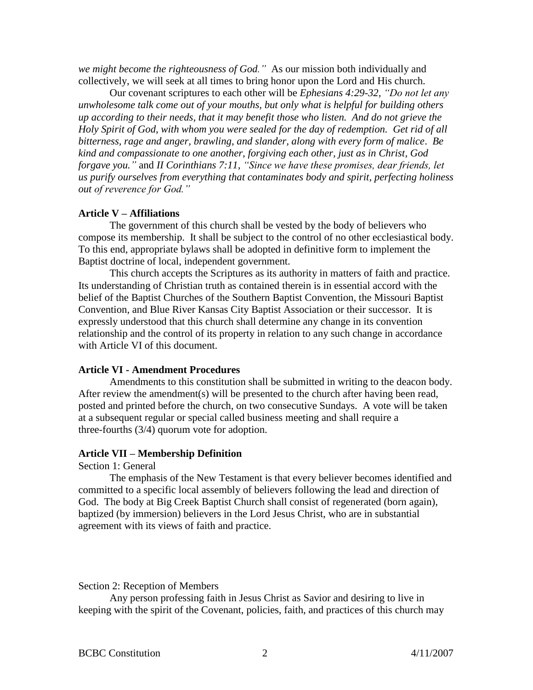*we might become the righteousness of God."* As our mission both individually and collectively, we will seek at all times to bring honor upon the Lord and His church.

Our covenant scriptures to each other will be *Ephesians 4:29-32, "Do not let any unwholesome talk come out of your mouths, but only what is helpful for building others up according to their needs, that it may benefit those who listen. And do not grieve the Holy Spirit of God, with whom you were sealed for the day of redemption. Get rid of all bitterness, rage and anger, brawling, and slander, along with every form of malice*. *Be kind and compassionate to one another, forgiving each other, just as in Christ, God forgave you."* and *II Corinthians 7:11, "Since we have these promises, dear friends, let us purify ourselves from everything that contaminates body and spirit, perfecting holiness out of reverence for God."*

# **Article V – Affiliations**

The government of this church shall be vested by the body of believers who compose its membership. It shall be subject to the control of no other ecclesiastical body. To this end, appropriate bylaws shall be adopted in definitive form to implement the Baptist doctrine of local, independent government.

This church accepts the Scriptures as its authority in matters of faith and practice. Its understanding of Christian truth as contained therein is in essential accord with the belief of the Baptist Churches of the Southern Baptist Convention, the Missouri Baptist Convention, and Blue River Kansas City Baptist Association or their successor. It is expressly understood that this church shall determine any change in its convention relationship and the control of its property in relation to any such change in accordance with Article VI of this document.

# **Article VI - Amendment Procedures**

Amendments to this constitution shall be submitted in writing to the deacon body. After review the amendment(s) will be presented to the church after having been read, posted and printed before the church, on two consecutive Sundays. A vote will be taken at a subsequent regular or special called business meeting and shall require a three-fourths (3/4) quorum vote for adoption.

### **Article VII – Membership Definition**

Section 1: General

The emphasis of the New Testament is that every believer becomes identified and committed to a specific local assembly of believers following the lead and direction of God. The body at Big Creek Baptist Church shall consist of regenerated (born again), baptized (by immersion) believers in the Lord Jesus Christ, who are in substantial agreement with its views of faith and practice.

#### Section 2: Reception of Members

Any person professing faith in Jesus Christ as Savior and desiring to live in keeping with the spirit of the Covenant, policies, faith, and practices of this church may